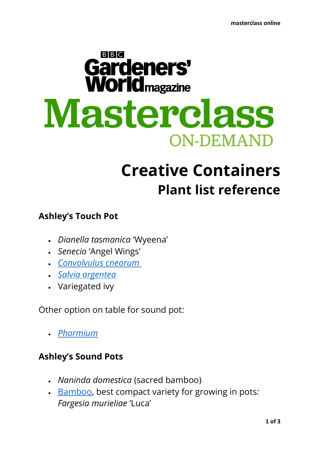# $B$  $B$  $C$ Gardeners' **World**<sub>magazine</sub> Masterclass **ON-DEMAND**

# **Creative Containers Plant list reference**

## **Ashley's Touch Pot**

- *Dianella tasmanica* 'Wyeena'
- *Senecio* 'Angel Wings'
- *[Convolvulus cneorum](https://www.gardenersworld.com/plants/convolvulus-cneorum/)*
- *[Salvia argentea](https://www.gardenersworld.com/plants/salvia-argentea/)*
- Variegated ivy

Other option on table for sound pot:

• *[Phormium](https://www.gardenersworld.com/search/?q=phormium)*

### **Ashley's Sound Pots**

- *Naninda domestica* (sacred bamboo)
- [Bamboo,](https://www.gardenersworld.com/search/?q=Phyllostachys) best compact variety for growing in pots*: Fargesia murieliae* 'Luca'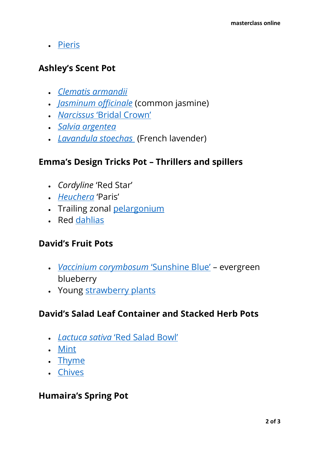• [Pieris](https://www.gardenersworld.com/search/?q=pieris)

### **Ashley's Scent Pot**

- *Clematis [armandii](https://www.gardenersworld.com/plants/clematis-armandii/)*
- *[Jasminum](https://www.gardenersworld.com/plants/jasminum-officinale/) officinale* (common jasmine)
- *Narcissus* ['Bridal Crown'](https://www.gardenersworld.com/plants/narcissus-bridal-crown/)
- *[Salvia argentea](https://www.gardenersworld.com/plants/salvia-argentea/)*
- *[Lavandula](https://www.gardenersworld.com/search/?q=Lavandula+stoechas) stoechas* (French lavender)

#### **Emma's Design Tricks Pot – Thrillers and spillers**

- *Cordyline* 'Red Star'
- *[Heuchera](https://www.gardenersworld.com/search/?q=heuchera)* 'Paris'
- Trailing zonal [pelargonium](https://www.gardenersworld.com/search/?q=pelargoniums)
- Red [dahlias](https://www.gardenersworld.com/search/?q=dahlias)

### **David's Fruit Pots**

- *Vaccinium corymbosum* ['Sunshine Blue'](https://www.gardenersworld.com/plants/vaccinium-corymbosum-sunshine-blue/) evergreen blueberry
- Young [strawberry plants](https://www.gardenersworld.com/search/?q=strawberries)

### **David's Salad Leaf Container and Stacked Herb Pots**

- *Lactuca sativa* ['Red Salad Bowl'](https://www.gardenersworld.com/plants/lactuca-sativa-salad-bowl-red/)
- [Mint](https://www.gardenersworld.com/search/?q=mint)
- [Thyme](https://www.gardenersworld.com/search/?q=thyme)
- [Chives](https://www.gardenersworld.com/search/?q=chives)

#### **Humaira's Spring Pot**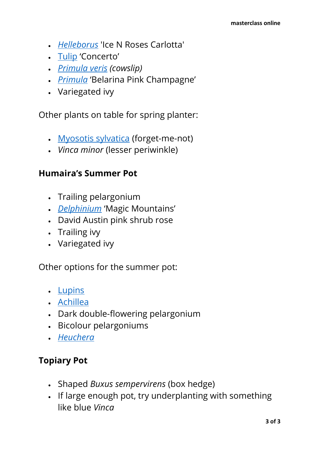- *[Helleborus](https://www.gardenersworld.com/search/?q=helleborus)* 'Ice N Roses Carlotta'
- [Tulip](https://www.gardenersworld.com/search/?q=tulip) 'Concerto'
- *[Primula veris](https://www.gardenersworld.com/plants/primula-veris/) (cowslip)*
- *[Primula](https://www.gardenersworld.com/search/?q=primula)* 'Belarina Pink Champagne'
- Variegated ivy

Other plants on table for spring planter:

- [Myosotis sylvatica](https://www.gardenersworld.com/plants/myosotis-sylvatica/) (forget-me-not)
- *Vinca minor* (lesser periwinkle)

#### **Humaira's Summer Pot**

- Trailing pelargonium
- *[Delphinium](https://www.gardenersworld.com/search/?q=delphinium)* 'Magic Mountains'
- David Austin pink shrub rose
- Trailing ivy
- Variegated ivy

Other options for the summer pot:

- [Lupins](https://www.gardenersworld.com/search/?q=lupin)
- [Achillea](https://www.gardenersworld.com/search/?q=achillea)
- Dark double-flowering pelargonium
- Bicolour pelargoniums
- *[Heuchera](https://www.gardenersworld.com/search/?q=heuchera)*

### **Topiary Pot**

- Shaped *Buxus sempervirens* (box hedge)
- If large enough pot, try underplanting with something like blue *Vinca*